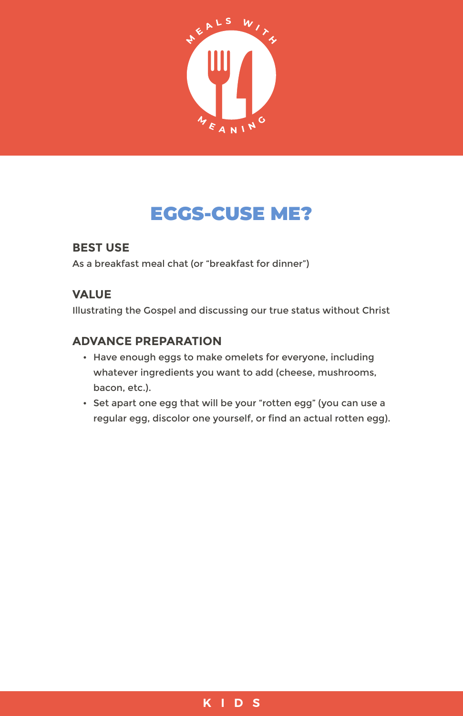

# EGGS-CUSE ME?

## **BEST USE**

As a breakfast meal chat (or "breakfast for dinner")

## **VALUE**

Illustrating the Gospel and discussing our true status without Christ

#### **ADVANCE PREPARATION**

- Have enough eggs to make omelets for everyone, including whatever ingredients you want to add (cheese, mushrooms, bacon, etc.).
- Set apart one egg that will be your "rotten egg" (you can use a regular egg, discolor one yourself, or find an actual rotten egg).